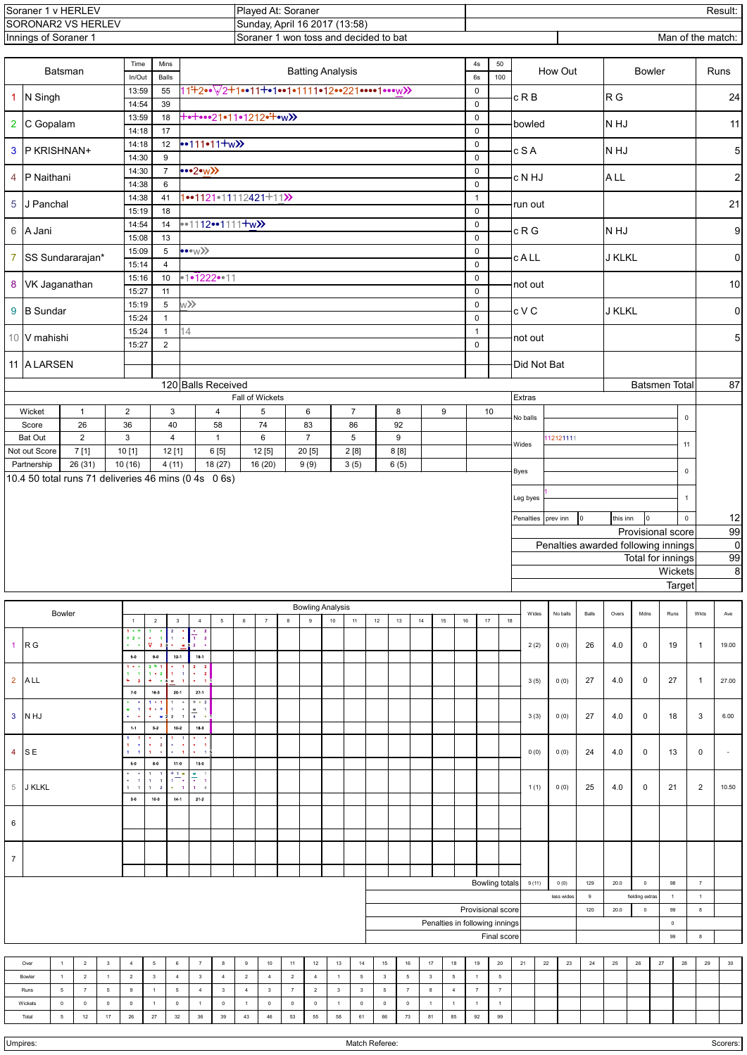| , v HERLEV<br>.Soraner ′                             | 'Plaved At: Soraner                        | Result:           |
|------------------------------------------------------|--------------------------------------------|-------------------|
| ISORONAR2 VS HERLEV<br>Sunday, April 16 2017 (13:58) |                                            |                   |
| Innings of Soraner 1                                 | 1 won toss and decided to bat<br>ക coraner | Man of the match: |

|                                   |                                                      | <b>Batsman</b>                   |                              |                              | Time<br>In/Out                                                                  |                                                                     | Mins<br>Balls                                               |                                                                                           |                                        |                                                            |                        |                      |                      | <b>Batting Analysis</b> |                      |                            |                          |                |          |                                | 4s<br>$6s\,$                | 50<br>How Out<br><b>Bowler</b><br>100 |                                                                                        |                                         |          |     |                                                            |             |        |                      |                | Runs                              |  |  |
|-----------------------------------|------------------------------------------------------|----------------------------------|------------------------------|------------------------------|---------------------------------------------------------------------------------|---------------------------------------------------------------------|-------------------------------------------------------------|-------------------------------------------------------------------------------------------|----------------------------------------|------------------------------------------------------------|------------------------|----------------------|----------------------|-------------------------|----------------------|----------------------------|--------------------------|----------------|----------|--------------------------------|-----------------------------|---------------------------------------|----------------------------------------------------------------------------------------|-----------------------------------------|----------|-----|------------------------------------------------------------|-------------|--------|----------------------|----------------|-----------------------------------|--|--|
| $\mathbf{1}$                      | N Singh                                              |                                  |                              |                              | 13:59<br>14:54                                                                  |                                                                     | 55<br>39                                                    |                                                                                           |                                        | 11 <sup>:</sup> +2••▽2+1••11+•1••1•1111•12••221••••1•••w>> |                        |                      |                      |                         |                      | $\mathbf 0$<br>$\mathsf 0$ |                          | c R B          |          |                                | R G                         |                                       | 24                                                                                     |                                         |          |     |                                                            |             |        |                      |                |                                   |  |  |
| $\overline{\mathbf{2}}$           | C Gopalam                                            |                                  |                              |                              | 13:59                                                                           |                                                                     | 18                                                          | <b>+•+•••21•11•1212•+•w&gt;&gt;</b>                                                       |                                        |                                                            |                        |                      |                      |                         |                      |                            |                          |                |          |                                | $\pmb{0}$                   |                                       | bowled                                                                                 |                                         |          |     | N HJ                                                       |             | 11     |                      |                |                                   |  |  |
| $\mathbf{3}$                      | P KRISHNAN+                                          |                                  |                              |                              | 14:18<br>14:18                                                                  |                                                                     | 17<br>$12\,$                                                | $\cdot$ -111•11+w $\lambda$                                                               |                                        |                                                            |                        |                      |                      |                         |                      |                            |                          |                |          |                                | $\pmb{0}$<br>$\pmb{0}$      |                                       | c S A                                                                                  |                                         |          |     | N HJ                                                       |             |        |                      |                | 5                                 |  |  |
| 4                                 | P Naithani                                           |                                  |                              |                              | 14:30<br>14:30                                                                  |                                                                     | $\boldsymbol{9}$<br>$\overline{7}$                          | $\bullet\bullet2\bullet\text{W}$                                                          |                                        |                                                            |                        |                      |                      |                         |                      |                            |                          |                |          |                                | $\pmb{0}$<br>$\mathsf 0$    |                                       | c N HJ                                                                                 |                                         |          |     | <b>ALL</b>                                                 |             |        |                      |                | $\mathbf{2}$                      |  |  |
| $\sqrt{5}$                        | J Panchal                                            |                                  |                              |                              | 14:38<br>14:38                                                                  |                                                                     | 6<br>41                                                     |                                                                                           |                                        | $1 - 1121 - 11112421 + 11$                                 |                        |                      |                      |                         |                      |                            |                          |                |          |                                | $\pmb{0}$<br>$\mathbf{1}$   |                                       |                                                                                        |                                         |          |     |                                                            |             |        |                      |                | 21                                |  |  |
|                                   |                                                      |                                  |                              |                              | 15:19<br>14:54                                                                  |                                                                     | 18<br>14                                                    |                                                                                           |                                        | $1121111+w$                                                |                        |                      |                      |                         |                      |                            |                          |                |          |                                | $\mathbf 0$<br>$\mathbf 0$  |                                       | run out                                                                                |                                         |          |     |                                                            |             |        |                      |                |                                   |  |  |
|                                   | 6 A Jani                                             |                                  |                              |                              | 15:08<br>15:09                                                                  |                                                                     | 13<br>5                                                     |                                                                                           |                                        |                                                            |                        |                      |                      |                         |                      |                            |                          |                |          |                                | $\pmb{0}$<br>$\pmb{0}$      |                                       | c R G                                                                                  |                                         |          |     | N HJ                                                       |             |        |                      |                | $\boldsymbol{9}$                  |  |  |
| $\overline{7}$                    | SS Sundararajan*                                     |                                  |                              |                              | 15:14                                                                           |                                                                     | $\overline{4}$                                              | $\ll 1$<br>$\pmb{0}$<br>$\pmb{0}$                                                         |                                        |                                                            |                        |                      |                      |                         |                      |                            |                          |                |          |                                |                             |                                       | <b>cALL</b>                                                                            |                                         |          |     | <b>J KLKL</b>                                              |             |        |                      |                | $\mathbf 0$                       |  |  |
| 8                                 | VK Jaganathan                                        |                                  |                              |                              | 15:16<br>15:27                                                                  |                                                                     | $10$<br>11                                                  | $\cdot 1 \cdot 1222 \cdot \cdot 11$<br>$\pmb{0}$                                          |                                        |                                                            |                        |                      |                      |                         |                      |                            |                          |                |          |                                |                             |                                       | not out                                                                                |                                         |          |     |                                                            |             |        |                      |                | $10$                              |  |  |
| 9                                 | <b>B</b> Sundar                                      |                                  |                              |                              | 15:19<br>15:24                                                                  |                                                                     | $\overline{5}$<br>$\mathbf{1}$                              | $\langle \langle w \rangle$                                                               |                                        |                                                            |                        |                      |                      |                         |                      |                            |                          |                |          |                                | $\pmb{0}$<br>$\mathsf 0$    |                                       | c V C                                                                                  |                                         |          |     | <b>J KLKL</b>                                              |             |        |                      |                | $\pmb{0}$                         |  |  |
|                                   | 10 V mahishi                                         |                                  |                              |                              | 15:24<br>15:27                                                                  |                                                                     | $\mathbf{1}$<br>$\overline{2}$                              | 14                                                                                        |                                        |                                                            |                        |                      |                      |                         |                      |                            |                          |                |          |                                | $\mathbf{1}$<br>$\mathsf 0$ |                                       | not out                                                                                |                                         |          |     |                                                            |             |        |                      |                | $\mathbf 5$                       |  |  |
|                                   | 11 A LARSEN                                          |                                  |                              |                              |                                                                                 |                                                                     |                                                             |                                                                                           |                                        |                                                            |                        |                      |                      |                         |                      |                            |                          |                |          |                                |                             |                                       | Did Not Bat                                                                            |                                         |          |     |                                                            |             |        |                      |                |                                   |  |  |
|                                   |                                                      |                                  |                              |                              |                                                                                 |                                                                     |                                                             |                                                                                           | 120 Balls Received                     | Fall of Wickets                                            |                        |                      |                      |                         |                      |                            |                          |                |          |                                |                             |                                       | Extras                                                                                 |                                         |          |     |                                                            |             |        | <b>Batsmen Total</b> |                | $\overline{87}$                   |  |  |
|                                   | Wicket                                               |                                  | $\mathbf{1}$                 |                              | $\overline{2}$                                                                  |                                                                     | 3                                                           |                                                                                           | $\overline{4}$                         |                                                            | 5                      |                      | $\,6\,$              |                         | $\overline{7}$       |                            | 8                        |                | 9        |                                | 10                          |                                       | No balls                                                                               |                                         |          |     |                                                            |             |        | $\mathsf 0$          |                |                                   |  |  |
|                                   | Score<br><b>Bat Out</b>                              |                                  | 26<br>$\overline{2}$         |                              | 36<br>$\mathbf{3}$                                                              |                                                                     | 40<br>$\overline{4}$                                        |                                                                                           | 58<br>$\mathbf{1}$                     |                                                            | 74<br>6                |                      | 83<br>$\overline{7}$ |                         | 86<br>5              |                            | 92<br>$\boldsymbol{9}$   |                |          |                                |                             |                                       | Wides                                                                                  |                                         | 12121111 |     |                                                            |             |        | 11                   |                |                                   |  |  |
|                                   | Not out Score<br>Partnership                         |                                  | 7[1]<br>26 (31)              |                              | 10[1]<br>10(16)                                                                 |                                                                     | 12[1]<br>4(11)                                              |                                                                                           | 6[5]<br>18 (27)                        |                                                            | 12[5]<br>16 (20)       |                      | 20 [5]<br>9(9)       |                         | $2\ [8]$<br>3(5)     |                            | 8[8]<br>6(5)             |                |          |                                |                             |                                       |                                                                                        |                                         |          |     |                                                            |             |        |                      |                |                                   |  |  |
|                                   | 10.4 50 total runs 71 deliveries 46 mins (0 4s 0 6s) |                                  |                              |                              |                                                                                 |                                                                     |                                                             |                                                                                           |                                        |                                                            |                        |                      |                      |                         |                      |                            |                          |                |          |                                |                             |                                       | Byes                                                                                   |                                         |          |     |                                                            |             |        | $\mathsf 0$          |                |                                   |  |  |
|                                   |                                                      |                                  |                              |                              |                                                                                 |                                                                     |                                                             |                                                                                           |                                        |                                                            |                        |                      |                      |                         |                      |                            |                          |                |          |                                |                             |                                       | Leg byes<br>$\mathbf{1}$<br>this inn<br>0<br>prev inn<br>$\mathsf 0$<br>Penalties<br>0 |                                         |          |     |                                                            |             |        |                      |                |                                   |  |  |
|                                   |                                                      |                                  |                              |                              |                                                                                 |                                                                     |                                                             |                                                                                           |                                        |                                                            |                        |                      |                      |                         |                      |                            |                          |                |          |                                |                             |                                       |                                                                                        |                                         |          |     |                                                            |             |        | Provisional score    |                | 12<br>99                          |  |  |
|                                   |                                                      |                                  |                              |                              |                                                                                 |                                                                     |                                                             |                                                                                           |                                        |                                                            |                        |                      |                      |                         |                      |                            |                          |                |          |                                |                             |                                       |                                                                                        |                                         |          |     | Penalties awarded following innings                        |             |        | Total for innings    |                | $\boldsymbol{0}$<br>99            |  |  |
|                                   |                                                      |                                  |                              |                              |                                                                                 |                                                                     |                                                             |                                                                                           |                                        |                                                            |                        |                      |                      |                         |                      |                            |                          |                |          |                                |                             |                                       |                                                                                        |                                         |          |     |                                                            |             |        | Wickets<br>Target    |                | $\bf 8$                           |  |  |
| <b>Bowling Analysis</b><br>Bowler |                                                      |                                  |                              |                              |                                                                                 |                                                                     |                                                             |                                                                                           |                                        |                                                            |                        |                      |                      |                         |                      |                            | Wides                    |                | No balls | Balls                          | Overs                       | Mdns                                  |                                                                                        | Runs                                    |          | Ave |                                                            |             |        |                      |                |                                   |  |  |
|                                   |                                                      |                                  |                              |                              | $\overline{1}$<br>$1 + 1$<br>$+2+$                                              | $\sqrt{2}$<br>$\bullet$<br>$\blacksquare$                           | $\mathbf{3}$<br>$\overline{2}$<br><b>E</b>                  | $\overline{4}$<br>$\overline{1}$ 2                                                        | $\,$ 5 $\,$<br>$\overline{\mathbf{2}}$ | $\,$ 6 $\,$                                                | $\scriptstyle{7}$      | $\boldsymbol{8}$     | 9                    | $10\,$                  | 11                   | $12\,$                     | 13                       | $14$           | 15       | $16\,$                         | 17                          | 18                                    |                                                                                        |                                         |          |     |                                                            |             |        |                      | Wkts           |                                   |  |  |
| $\overline{1}$                    | R <sub>G</sub>                                       |                                  |                              |                              | $\bullet$<br>$\sim$<br>$5-0$                                                    | Ā.<br>$\overline{\phantom{a}2}$<br>$0-0$                            | 12-1                                                        | $\overline{\mathbf{2}}$<br>$19-1$                                                         |                                        |                                                            |                        |                      |                      |                         |                      |                            |                          |                |          |                                |                             |                                       | 2(2)                                                                                   |                                         | 0(0)     | 26  | 4.0                                                        | $\mathbf 0$ |        | 19                   | $\mathbf{1}$   | 19.00                             |  |  |
| $\overline{2}$                    | <b>ALL</b>                                           |                                  |                              |                              | $1 -$<br>1.<br>$\blacksquare$<br>٠<br>$\,$ 2                                    | $2 + 1$<br>$1 + 2$<br>٠.                                            | $1 - 1$<br>w                                                | $\mathbf{2}$<br>- 2<br>$\bullet$<br>$\overline{\mathbf{2}}$<br><b>I</b><br>$\blacksquare$ |                                        |                                                            |                        |                      |                      |                         |                      |                            |                          |                |          |                                |                             |                                       | 3(5)                                                                                   |                                         | 0(0)     | 27  | 4.0                                                        | 0           |        | 27                   | $\mathbf{1}$   | 27.00                             |  |  |
|                                   |                                                      |                                  |                              |                              | $7.0\,$<br>٠<br>$\mathbf{w}$<br>$\blacksquare$<br>$\bullet$<br>٠.               | 16.0<br>$1 + 1$<br>۰.                                               | $20 - 1$<br>$\mathbf{1}$                                    | 27-1<br>$+ 2$<br>$\bullet$<br>$\frac{w}{2}$ 1                                             | $\sim$                                 |                                                            |                        |                      |                      |                         |                      |                            |                          |                |          |                                |                             |                                       |                                                                                        |                                         |          |     |                                                            |             |        |                      |                |                                   |  |  |
| 3                                 | N HJ                                                 |                                  |                              |                              | $1 - 1$<br>1<br>-1                                                              | - w 3<br>$5-2$                                                      | $2 \quad 1$<br>$10-2$                                       | $\overline{4}$<br>$18-3$                                                                  |                                        |                                                            |                        |                      |                      |                         |                      |                            |                          |                |          |                                |                             |                                       | 3(3)                                                                                   |                                         | 0(0)     | 27  | 4.0                                                        | 0           |        | 18                   | 3              | 6.00                              |  |  |
| $\overline{4}$                    | S E                                                  |                                  |                              |                              | $\mathbf 1$<br>$\bullet$<br>$\mathbf 1$<br>$\blacksquare$<br>$8-0$              | $\bullet$<br>$\overline{\mathbf{2}}$<br>$\mathbf{I}$<br>٠.<br>$8-0$ | $\alpha = -\alpha$<br>$\bullet$ .<br>$\blacksquare$<br>11-0 | $\bullet$<br>$\blacksquare$<br>$\bullet$<br>13-0                                          | 15                                     |                                                            |                        |                      |                      |                         |                      |                            |                          |                |          |                                |                             |                                       | 0(0)                                                                                   |                                         | 0(0)     | 24  | 4.0                                                        | $\mathbf 0$ |        | 13                   | $\mathbf 0$    | $\sim$                            |  |  |
| 5                                 | <b>J KLKL</b>                                        |                                  |                              |                              | $\bullet$<br>$\bullet$<br>$\,$ 1 $\,$<br>$\,$ 1 $\,$<br>$\blacksquare$<br>$3-0$ | $1 - 1$<br>$1 \quad 2$<br>10-0                                      | $\frac{+1}{1}$<br>$\bullet$ 1<br>$14 - 1$                   | $\frac{w}{\bullet}$<br>$\overline{1}$<br>$\mathbf{1}$<br>$\mathcal{A}$<br>$21 - 2$        |                                        |                                                            |                        |                      |                      |                         |                      |                            |                          |                |          |                                |                             |                                       | 1(1)                                                                                   |                                         | 0(0)     | 25  | 4.0                                                        | 0           |        | 21                   | $\overline{2}$ | 10.50                             |  |  |
| 6                                 |                                                      |                                  |                              |                              |                                                                                 |                                                                     |                                                             |                                                                                           |                                        |                                                            |                        |                      |                      |                         |                      |                            |                          |                |          |                                |                             |                                       |                                                                                        |                                         |          |     |                                                            |             |        |                      |                |                                   |  |  |
| $\overline{7}$                    |                                                      |                                  |                              |                              |                                                                                 |                                                                     |                                                             |                                                                                           |                                        |                                                            |                        |                      |                      |                         |                      |                            |                          |                |          |                                |                             |                                       |                                                                                        |                                         |          |     |                                                            |             |        |                      |                |                                   |  |  |
|                                   |                                                      |                                  |                              |                              |                                                                                 |                                                                     |                                                             |                                                                                           |                                        |                                                            |                        |                      |                      | <b>Bowling totals</b>   |                      |                            |                          |                |          |                                |                             |                                       |                                                                                        |                                         |          |     |                                                            |             |        |                      |                |                                   |  |  |
|                                   |                                                      |                                  |                              |                              |                                                                                 |                                                                     |                                                             |                                                                                           |                                        |                                                            |                        |                      |                      |                         |                      |                            |                          |                |          |                                |                             |                                       |                                                                                        | 9(11)<br>0(0)<br>129<br>9<br>less wides |          |     | 20.0<br>$\circ$<br>98<br>fielding extras<br>$\overline{1}$ |             |        |                      |                | $\scriptstyle{7}$<br>$\mathbf{1}$ |  |  |
|                                   |                                                      |                                  |                              |                              |                                                                                 |                                                                     |                                                             |                                                                                           |                                        |                                                            |                        |                      |                      |                         |                      |                            |                          |                |          | Penalties in following innings |                             | Provisional score                     |                                                                                        |                                         |          | 120 | 20.0                                                       | $\mathbf 0$ |        | 99<br>$\mathsf 0$    | 8              |                                   |  |  |
|                                   |                                                      |                                  |                              |                              |                                                                                 |                                                                     |                                                             |                                                                                           |                                        |                                                            |                        |                      |                      | Final score             |                      |                            |                          |                |          |                                |                             | 99                                    | 8                                                                                      |                                         |          |     |                                                            |             |        |                      |                |                                   |  |  |
|                                   | Over<br>Bowler                                       | $\overline{1}$<br>$\overline{1}$ | $\sqrt{2}$<br>$\overline{a}$ | $_{\rm 3}$<br>$\overline{1}$ | $\sqrt{4}$<br>$\overline{2}$                                                    | $\,$ 5 $\,$<br>$\mathbf{3}$                                         | $\,6\,$<br>$\overline{4}$                                   | $\scriptstyle{7}$<br>$\mathbf 3$                                                          | $\bf8$<br>$\overline{4}$               | $\,9$<br>$\overline{2}$                                    | $10$<br>$\overline{4}$ | 11<br>$\overline{2}$ | 12<br>$\overline{4}$ | $13\,$<br>$\mathbf{1}$  | 14<br>$\overline{5}$ | 15<br>$\mathbf{3}$         | $16\,$<br>$\overline{5}$ | 17<br>$_{3}$   |          | $18\,$<br>$\sqrt{5}$           | 19<br>$\mathbf{1}$          | $20\,$<br>$\overline{5}$              | 21                                                                                     | 22                                      | 23       | 24  | $25\,$                                                     | $26\,$      | $27\,$ | ${\bf 28}$           | 29             | $30\,$                            |  |  |
|                                   | Runs                                                 | 5                                | $\overline{7}$               | $\sqrt{5}$                   | 9                                                                               | $\mathbf{1}$                                                        | $5\phantom{.0}$                                             | $\overline{4}$                                                                            | $\mathbf{3}$                           | $\overline{4}$                                             | $\mathbf{3}$           | $\overline{7}$       | $\sqrt{2}$           | $\mathbf{3}$            | $_{3}$               | $5\phantom{.0}$            | $\overline{7}$           | $\bf8$         |          | $\overline{4}$                 | $\overline{7}$              | $\overline{7}$                        |                                                                                        |                                         |          |     |                                                            |             |        |                      |                |                                   |  |  |
|                                   | Wickets                                              | $\mathbb O$                      | $\mathbf 0$                  | $\,$ 0                       | $\mathbb O$                                                                     | $\mathbf{1}$                                                        | $\mathbb O$                                                 | $\overline{1}$                                                                            | $\mathbf 0$                            | $\overline{1}$                                             | $\mathbf 0$            | $\mathbf 0$          | $\mathbb O$          | $\overline{1}$          | $\bf{0}$             | $\mathbf 0$                | $\mathbb O$              | $\overline{1}$ |          | $\overline{1}$                 | $\overline{1}$              | $\mathbf{1}$                          |                                                                                        |                                         |          |     |                                                            |             |        |                      |                |                                   |  |  |